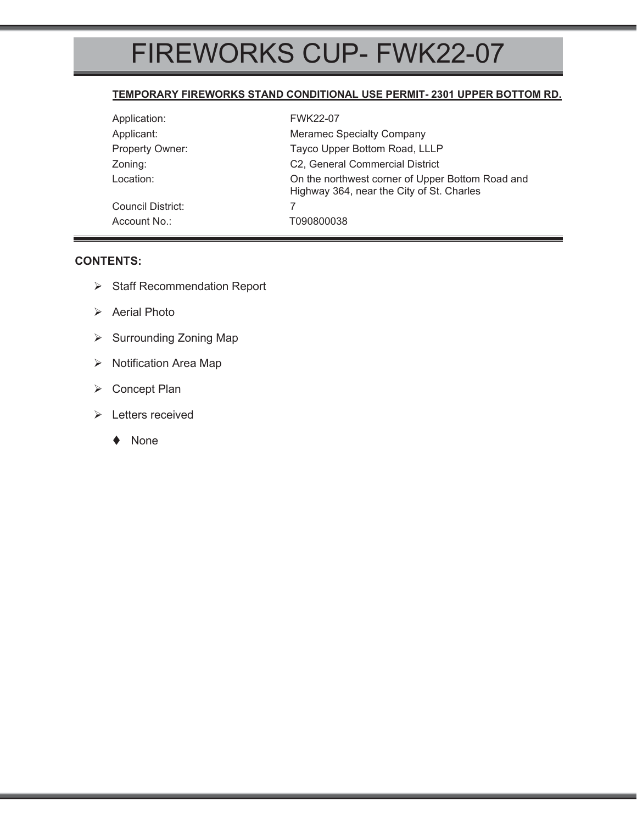# FIREWORKS CUP- FWK22-07

#### **TEMPORARY FIREWORKS STAND CONDITIONAL USE PERMIT- 2301 UPPER BOTTOM RD.**

| Application:      | <b>FWK22-07</b>                                                                               |  |
|-------------------|-----------------------------------------------------------------------------------------------|--|
| Applicant:        | <b>Meramec Specialty Company</b>                                                              |  |
| Property Owner:   | Tayco Upper Bottom Road, LLLP                                                                 |  |
| Zoning:           | C2, General Commercial District                                                               |  |
| Location:         | On the northwest corner of Upper Bottom Road and<br>Highway 364, near the City of St. Charles |  |
| Council District: |                                                                                               |  |
| Account No.:      | T090800038                                                                                    |  |

#### **CONTENTS:**

- ¾ Staff Recommendation Report
- $\triangleright$  Aerial Photo
- ¾ Surrounding Zoning Map
- ¾ Notification Area Map
- ¾ Concept Plan
- ¾ Letters received
	- ◆ None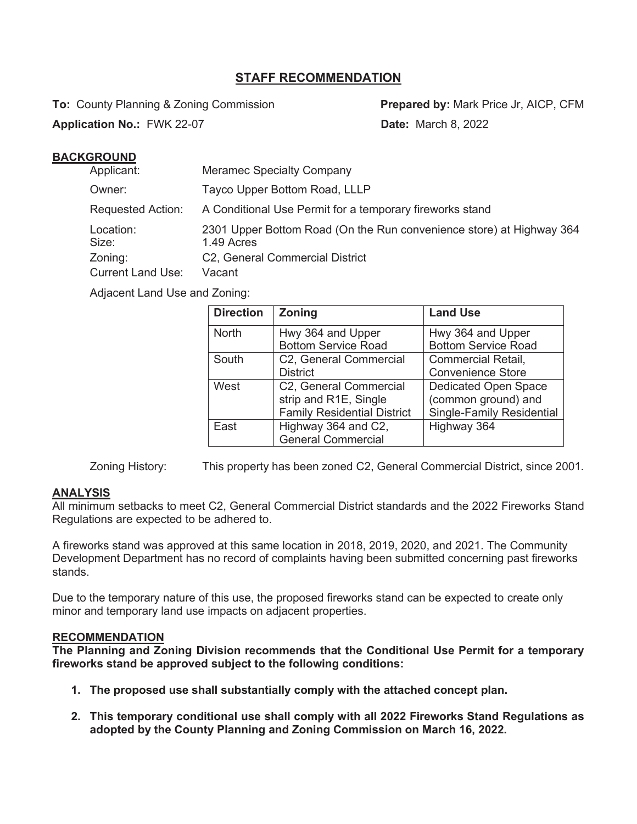## **STAFF RECOMMENDATION**

**To:** County Planning & Zoning Commission **Prepared by:** Mark Price Jr, AICP, CFM

**Application No.: FWK 22-07 <b>Date:** March 8, 2022

### **BACKGROUND**

| Applicant:               | <b>Meramec Specialty Company</b>                                                   |
|--------------------------|------------------------------------------------------------------------------------|
| Owner:                   | Tayco Upper Bottom Road, LLLP                                                      |
| <b>Requested Action:</b> | A Conditional Use Permit for a temporary fireworks stand                           |
| Location:<br>Size:       | 2301 Upper Bottom Road (On the Run convenience store) at Highway 364<br>1.49 Acres |
| Zoning:                  | C2, General Commercial District                                                    |
| <b>Current Land Use:</b> | Vacant                                                                             |

Adjacent Land Use and Zoning:

| <b>Direction</b> | <b>Zoning</b>                      | <b>Land Use</b>                  |
|------------------|------------------------------------|----------------------------------|
| <b>North</b>     | Hwy 364 and Upper                  | Hwy 364 and Upper                |
|                  | <b>Bottom Service Road</b>         | <b>Bottom Service Road</b>       |
| South            | C2, General Commercial             | <b>Commercial Retail,</b>        |
|                  | <b>District</b>                    | <b>Convenience Store</b>         |
| West             | C2, General Commercial             | <b>Dedicated Open Space</b>      |
|                  | strip and R1E, Single              | (common ground) and              |
|                  | <b>Family Residential District</b> | <b>Single-Family Residential</b> |
| East             | Highway 364 and C2,                | Highway 364                      |
|                  | <b>General Commercial</b>          |                                  |

Zoning History: This property has been zoned C2, General Commercial District, since 2001.

### **ANALYSIS**

All minimum setbacks to meet C2, General Commercial District standards and the 2022 Fireworks Stand Regulations are expected to be adhered to.

A fireworks stand was approved at this same location in 2018, 2019, 2020, and 2021. The Community Development Department has no record of complaints having been submitted concerning past fireworks stands.

Due to the temporary nature of this use, the proposed fireworks stand can be expected to create only minor and temporary land use impacts on adjacent properties.

#### **RECOMMENDATION**

**The Planning and Zoning Division recommends that the Conditional Use Permit for a temporary fireworks stand be approved subject to the following conditions:** 

- **1. The proposed use shall substantially comply with the attached concept plan.**
- **2. This temporary conditional use shall comply with all 2022 Fireworks Stand Regulations as adopted by the County Planning and Zoning Commission on March 16, 2022.**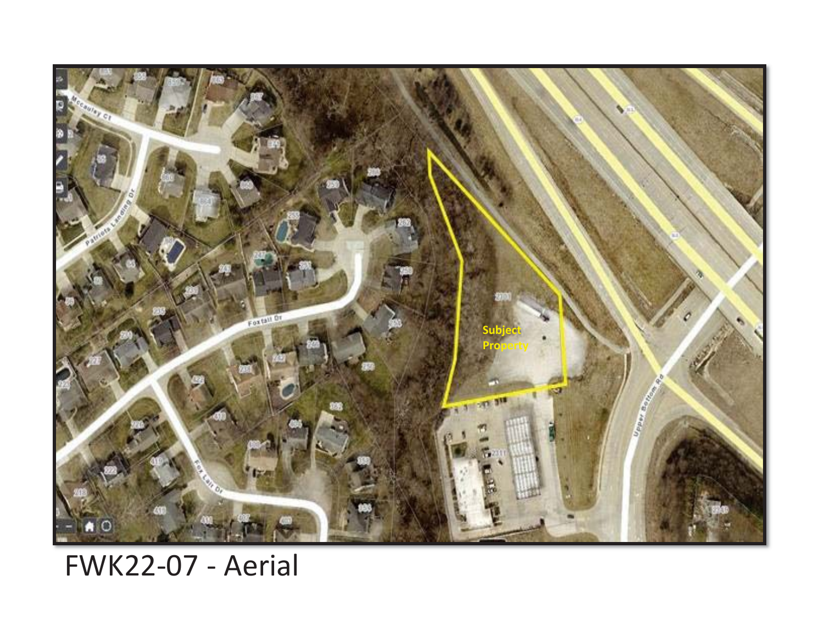

# FWK22-07 - Aerial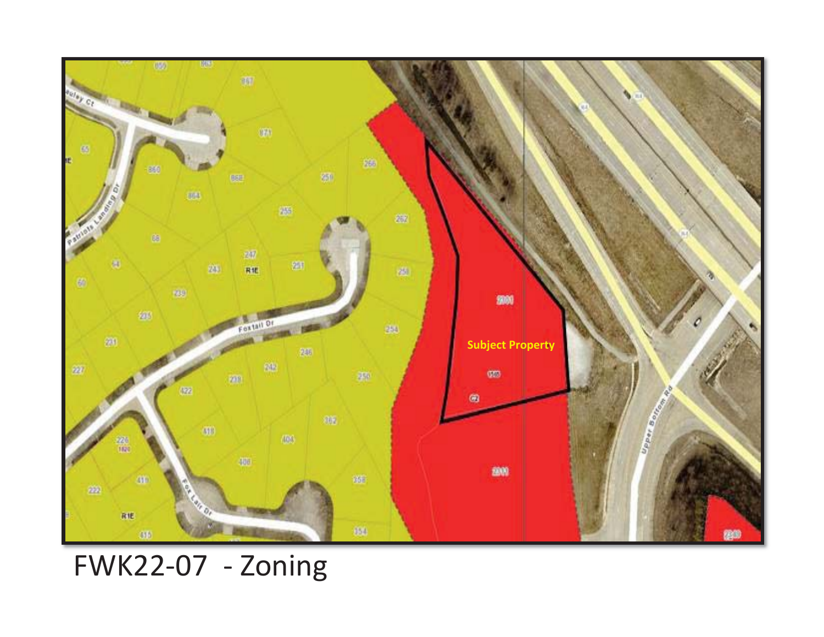

FWK22-07 - Zoning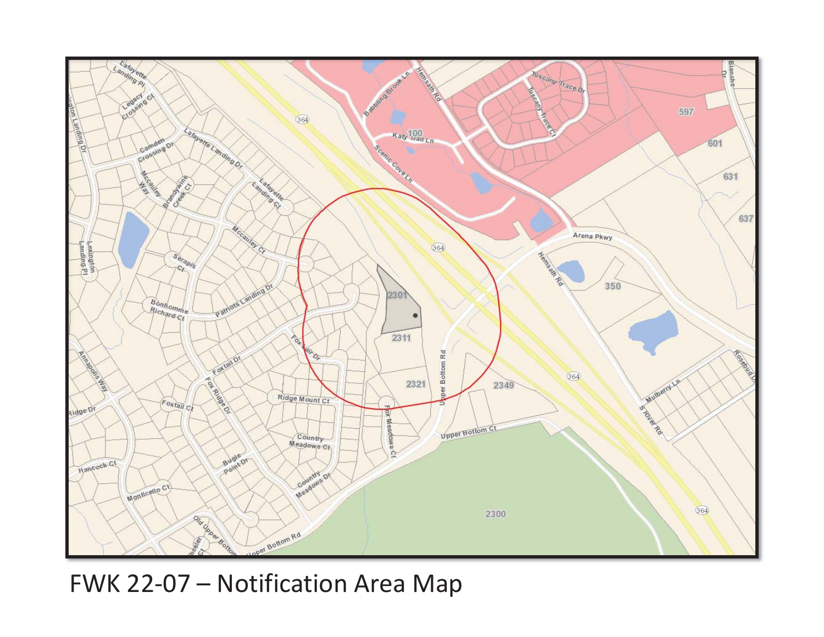

FWK 22-07 – Notification Area Map